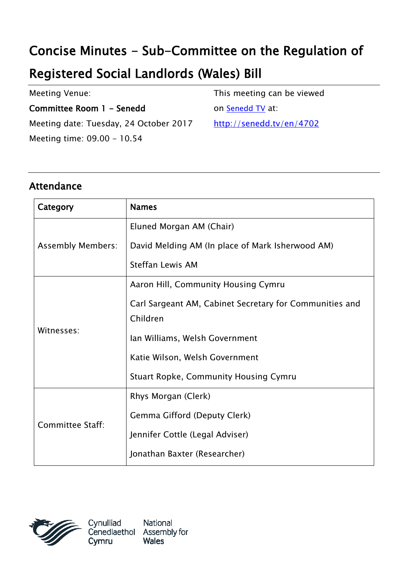## Concise Minutes - Sub-Committee on the Regulation of

## Registered Social Landlords (Wales) Bill

| <b>Meeting Venue:</b>                  | This meeting can be viewed |
|----------------------------------------|----------------------------|
| Committee Room 1 - Senedd              | on Senedd TV at:           |
| Meeting date: Tuesday, 24 October 2017 | http://senedd.tv/en/4702   |
| Meeting time: 09.00 - 10.54            |                            |

## Attendance

| Category                 | <b>Names</b>                                            |
|--------------------------|---------------------------------------------------------|
| <b>Assembly Members:</b> | Eluned Morgan AM (Chair)                                |
|                          | David Melding AM (In place of Mark Isherwood AM)        |
|                          | <b>Steffan Lewis AM</b>                                 |
| Witnesses:               | Aaron Hill, Community Housing Cymru                     |
|                          | Carl Sargeant AM, Cabinet Secretary for Communities and |
|                          | Children                                                |
|                          | Ian Williams, Welsh Government                          |
|                          | Katie Wilson, Welsh Government                          |
|                          | <b>Stuart Ropke, Community Housing Cymru</b>            |
| Committee Staff:         | Rhys Morgan (Clerk)                                     |
|                          | Gemma Gifford (Deputy Clerk)                            |
|                          | Jennifer Cottle (Legal Adviser)                         |
|                          | Jonathan Baxter (Researcher)                            |